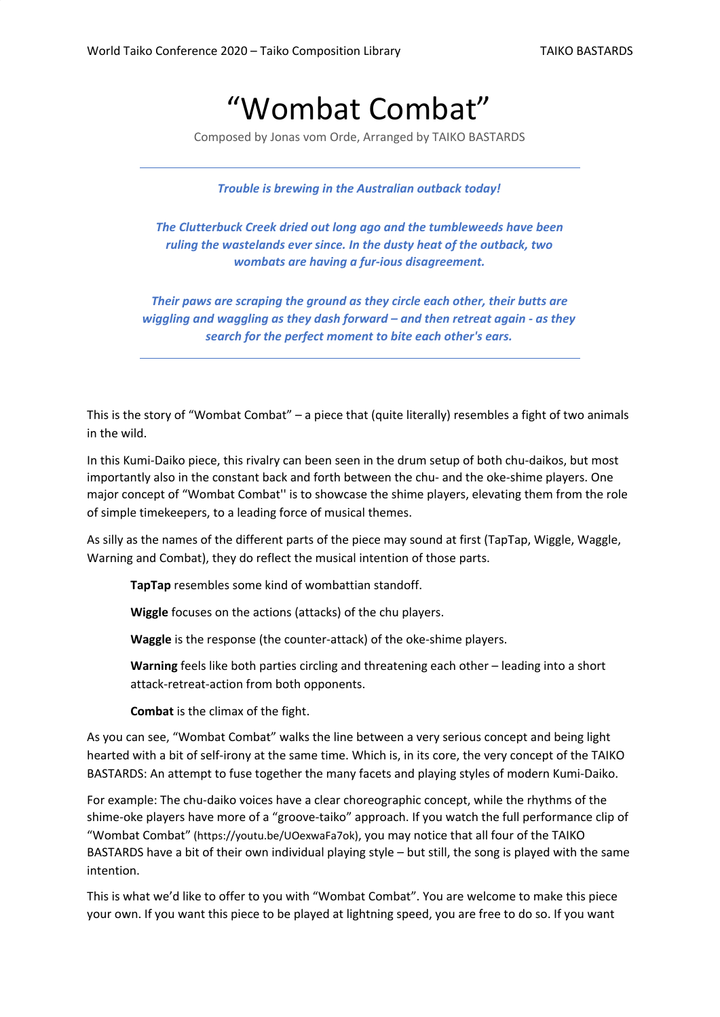# "Wombat Combat"

Composed by Jonas vom Orde, Arranged by TAIKO BASTARDS

*Trouble is brewing in the Australian outback today!*

*The Clutterbuck Creek dried out long ago and the tumbleweeds have been ruling the wastelands ever since. In the dusty heat of the outback, two wombats are having a fur-ious disagreement.*

*Their paws are scraping the ground as they circle each other, their butts are wiggling and waggling as they dash forward – and then retreat again - as they search for the perfect moment to bite each other's ears.*

This is the story of "Wombat Combat" – a piece that (quite literally) resembles a fight of two animals in the wild.

In this Kumi-Daiko piece, this rivalry can been seen in the drum setup of both chu-daikos, but most importantly also in the constant back and forth between the chu- and the oke-shime players. One major concept of "Wombat Combat'' is to showcase the shime players, elevating them from the role of simple timekeepers, to a leading force of musical themes.

As silly as the names of the different parts of the piece may sound at first (TapTap, Wiggle, Waggle, Warning and Combat), they do reflect the musical intention of those parts.

**TapTap** resembles some kind of wombattian standoff.

**Wiggle** focuses on the actions (attacks) of the chu players.

**Waggle** is the response (the counter-attack) of the oke-shime players.

**Warning** feels like both parties circling and threatening each other – leading into a short attack-retreat-action from both opponents.

**Combat** is the climax of the fight.

As you can see, "Wombat Combat" walks the line between a very serious concept and being light hearted with a bit of self-irony at the same time. Which is, in its core, the very concept of the TAIKO BASTARDS: An attempt to fuse together the many facets and playing styles of modern Kumi-Daiko.

For example: The chu-daiko voices have a clear choreographic concept, while the rhythms of the shime-oke players have more of a "groove-taiko" approach. If you watch the full performance clip of "Wombat Combat" (https://youtu.be/UOexwaFa7ok), you may notice that all four of the TAIKO BASTARDS have a bit of their own individual playing style – but still, the song is played with the same intention.

This is what we'd like to offer to you with "Wombat Combat". You are welcome to make this piece your own. If you want this piece to be played at lightning speed, you are free to do so. If you want